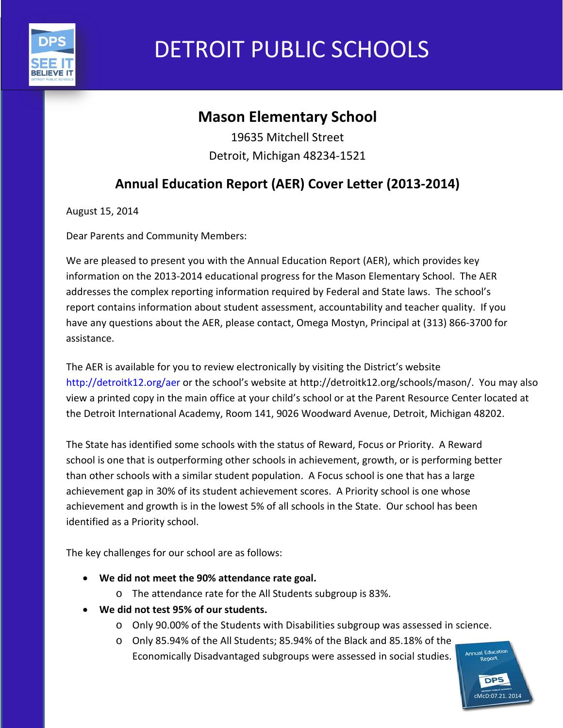

# DETROIT PUBLIC SCHOOLS

# **Mason Elementary School**

19635 Mitchell Street Detroit, Michigan 48234-1521

# **Annual Education Report (AER) Cover Letter (2013-2014)**

August 15, 2014

Dear Parents and Community Members:

We are pleased to present you with the Annual Education Report (AER), which provides key information on the 2013-2014 educational progress for the Mason Elementary School. The AER addresses the complex reporting information required by Federal and State laws. The school's report contains information about student assessment, accountability and teacher quality. If you have any questions about the AER, please contact, Omega Mostyn, Principal at (313) 866-3700 for assistance.

The AER is available for you to review electronically by visiting the District's website http://detroitk12.org/aer or the school's website at http://detroitk12.org/schools/mason/. You may also view a printed copy in the main office at your child's school or at the Parent Resource Center located at the Detroit International Academy, Room 141, 9026 Woodward Avenue, Detroit, Michigan 48202.

The State has identified some schools with the status of Reward, Focus or Priority. A Reward school is one that is outperforming other schools in achievement, growth, or is performing better than other schools with a similar student population. A Focus school is one that has a large achievement gap in 30% of its student achievement scores. A Priority school is one whose achievement and growth is in the lowest 5% of all schools in the State. Our school has been identified as a Priority school.

The key challenges for our school are as follows:

- **We did not meet the 90% attendance rate goal.**
	- o The attendance rate for the All Students subgroup is 83%.
- **We did not test 95% of our students.**
	- o Only 90.00% of the Students with Disabilities subgroup was assessed in science.
	- o Only 85.94% of the All Students; 85.94% of the Black and 85.18% of the Economically Disadvantaged subgroups were assessed in social studies.

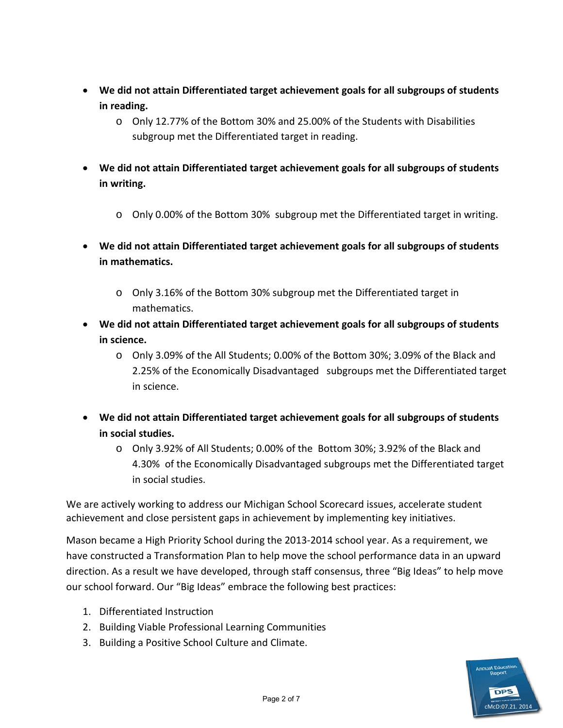- **We did not attain Differentiated target achievement goals for all subgroups of students in reading.**
	- o Only 12.77% of the Bottom 30% and 25.00% of the Students with Disabilities subgroup met the Differentiated target in reading.
- **We did not attain Differentiated target achievement goals for all subgroups of students in writing.**
	- $\circ$  Only 0.00% of the Bottom 30% subgroup met the Differentiated target in writing.
- **We did not attain Differentiated target achievement goals for all subgroups of students in mathematics.**
	- o Only 3.16% of the Bottom 30% subgroup met the Differentiated target in mathematics.
- **We did not attain Differentiated target achievement goals for all subgroups of students in science.**
	- o Only 3.09% of the All Students; 0.00% of the Bottom 30%; 3.09% of the Black and 2.25% of the Economically Disadvantaged subgroups met the Differentiated target in science.
- **We did not attain Differentiated target achievement goals for all subgroups of students in social studies.**
	- o Only 3.92% of All Students; 0.00% of the Bottom 30%; 3.92% of the Black and 4.30% of the Economically Disadvantaged subgroups met the Differentiated target in social studies.

We are actively working to address our Michigan School Scorecard issues, accelerate student achievement and close persistent gaps in achievement by implementing key initiatives.

Mason became a High Priority School during the 2013-2014 school year. As a requirement, we have constructed a Transformation Plan to help move the school performance data in an upward direction. As a result we have developed, through staff consensus, three "Big Ideas" to help move our school forward. Our "Big Ideas" embrace the following best practices:

- 1. Differentiated Instruction
- 2. Building Viable Professional Learning Communities
- 3. Building a Positive School Culture and Climate.

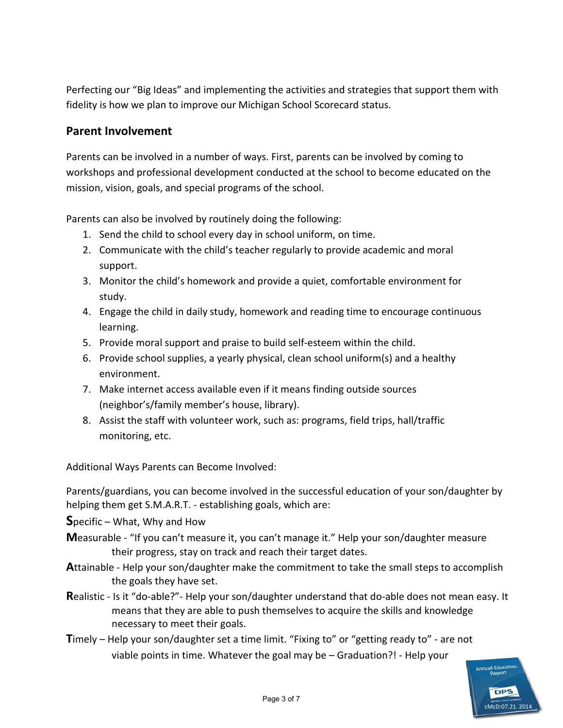Perfecting our "Big Ideas" and implementing the activities and strategies that support them with fidelity is how we plan to improve our Michigan School Scorecard status.

#### **Parent Involvement**

Parents can be involved in a number of ways. First, parents can be involved by coming to workshops and professional development conducted at the school to become educated on the mission, vision, goals, and special programs of the school.

Parents can also be involved by routinely doing the following:

- 1. Send the child to school every day in school uniform, on time.
- 2. Communicate with the child's teacher regularly to provide academic and moral support.
- 3. Monitor the child's homework and provide a quiet, comfortable environment for study.
- 4. Engage the child in daily study, homework and reading time to encourage continuous learning.
- 5. Provide moral support and praise to build self-esteem within the child.
- 6. Provide school supplies, a yearly physical, clean school uniform(s) and a healthy environment.
- 7. Make internet access available even if it means finding outside sources (neighbor's/family member's house, library).
- 8. Assist the staff with volunteer work, such as: programs, field trips, hall/traffic monitoring, etc.

Additional Ways Parents can Become Involved:

Parents/guardians, you can become involved in the successful education of your son/daughter by helping them get S.M.A.R.T. - establishing goals, which are:

**S**pecific – What, Why and How

- **M**easurable "If you can't measure it, you can't manage it." Help your son/daughter measure their progress, stay on track and reach their target dates.
- **A**ttainable Help your son/daughter make the commitment to take the small steps to accomplish the goals they have set.
- **R**ealistic Is it "do-able?"- Help your son/daughter understand that do-able does not mean easy. It means that they are able to push themselves to acquire the skills and knowledge necessary to meet their goals.
- **T**imely Help your son/daughter set a time limit. "Fixing to" or "getting ready to" are not viable points in time. Whatever the goal may be – Graduation?! - Help your

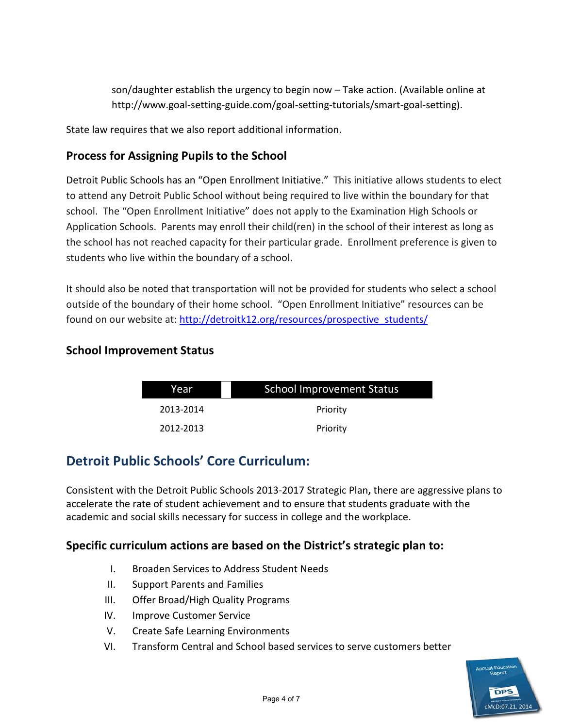son/daughter establish the urgency to begin now – Take action. (Available online at http://www.goal-setting-guide.com/goal-setting-tutorials/smart-goal-setting).

State law requires that we also report additional information.

## **Process for Assigning Pupils to the School**

Detroit Public Schools has an "Open Enrollment Initiative." This initiative allows students to elect to attend any Detroit Public School without being required to live within the boundary for that school. The "Open Enrollment Initiative" does not apply to the Examination High Schools or Application Schools. Parents may enroll their child(ren) in the school of their interest as long as the school has not reached capacity for their particular grade. Enrollment preference is given to students who live within the boundary of a school.

It should also be noted that transportation will not be provided for students who select a school outside of the boundary of their home school. "Open Enrollment Initiative" resources can be found on our website at: [http://detroitk12.org/resources/prospective\\_students/](http://detroitk12.org/resources/prospective_students/)

### **School Improvement Status**

| Year      | <b>School Improvement Status</b> |  |
|-----------|----------------------------------|--|
| 2013-2014 | Priority                         |  |
| 2012-2013 | Priority                         |  |

# **Detroit Public Schools' Core Curriculum:**

Consistent with the Detroit Public Schools 2013-2017 Strategic Plan**,** there are aggressive plans to accelerate the rate of student achievement and to ensure that students graduate with the academic and social skills necessary for success in college and the workplace.

# **Specific curriculum actions are based on the District's strategic plan to:**

- I. Broaden Services to Address Student Needs
- II. Support Parents and Families
- III. Offer Broad/High Quality Programs
- IV. Improve Customer Service
- V. Create Safe Learning Environments
- VI. Transform Central and School based services to serve customers better

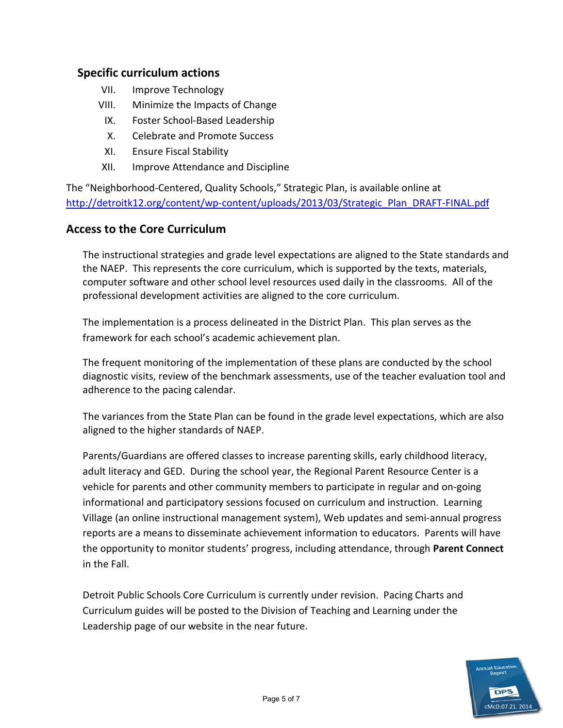#### **Specific curriculum actions**

- VII. Improve Technology
- VIII. Minimize the Impacts of Change
	- IX. Foster School-Based Leadership
	- X. Celebrate and Promote Success
	- XI. Ensure Fiscal Stability
- XII. Improve Attendance and Discipline

The "Neighborhood-Centered, Quality Schools," Strategic Plan, is available online at [http://detroitk12.org/content/wp-content/uploads/2013/03/Strategic\\_Plan\\_DRAFT-FINAL.pdf](http://detroitk12.org/content/wp-content/uploads/2013/03/Strategic_Plan_DRAFT-FINAL.pdf)

#### **Access to the Core Curriculum**

The instructional strategies and grade level expectations are aligned to the State standards and the NAEP. This represents the core curriculum, which is supported by the texts, materials, computer software and other school level resources used daily in the classrooms. All of the professional development activities are aligned to the core curriculum.

The implementation is a process delineated in the District Plan. This plan serves as the framework for each school's academic achievement plan.

The frequent monitoring of the implementation of these plans are conducted by the school diagnostic visits, review of the benchmark assessments, use of the teacher evaluation tool and adherence to the pacing calendar.

The variances from the State Plan can be found in the grade level expectations, which are also aligned to the higher standards of NAEP.

Parents/Guardians are offered classes to increase parenting skills, early childhood literacy, adult literacy and GED. During the school year, the Regional Parent Resource Center is a vehicle for parents and other community members to participate in regular and on-going informational and participatory sessions focused on curriculum and instruction. Learning Village (an online instructional management system), Web updates and semi-annual progress reports are a means to disseminate achievement information to educators. Parents will have the opportunity to monitor students' progress, including attendance, through **Parent Connect**  in the Fall.

Detroit Public Schools Core Curriculum is currently under revision. Pacing Charts and Curriculum guides will be posted to the Division of Teaching and Learning under the Leadership page of our website in the near future.

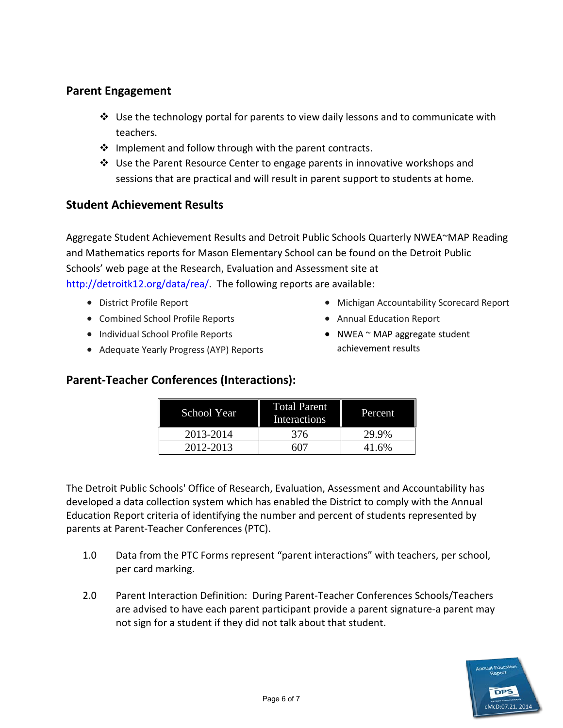## **Parent Engagement**

- $\div$  Use the technology portal for parents to view daily lessons and to communicate with teachers.
- $\cdot \cdot$  Implement and follow through with the parent contracts.
- Use the Parent Resource Center to engage parents in innovative workshops and sessions that are practical and will result in parent support to students at home.

### **Student Achievement Results**

Aggregate Student Achievement Results and Detroit Public Schools Quarterly NWEA~MAP Reading and Mathematics reports for Mason Elementary School can be found on the Detroit Public Schools' web page at the Research, Evaluation and Assessment site at [http://detroitk12.org/data/rea/.](http://detroitk12.org/data/rea/) The following reports are available:

- District Profile Report
- Combined School Profile Reports
- Individual School Profile Reports
- Adequate Yearly Progress (AYP) Reports
- Michigan Accountability Scorecard Report
- Annual Education Report
- NWEA ~ MAP aggregate student achievement results

# **Parent-Teacher Conferences (Interactions):**

| School Year | <b>Total Parent</b><br><b>Interactions</b> | Percent. |
|-------------|--------------------------------------------|----------|
| 2013-2014   | 376                                        | 29.9%    |
| 2012-2013   |                                            | 41.6%    |

The Detroit Public Schools' Office of Research, Evaluation, Assessment and Accountability has developed a data collection system which has enabled the District to comply with the Annual Education Report criteria of identifying the number and percent of students represented by parents at Parent-Teacher Conferences (PTC).

- 1.0 Data from the PTC Forms represent "parent interactions" with teachers, per school, per card marking.
- 2.0 Parent Interaction Definition: During Parent-Teacher Conferences Schools/Teachers are advised to have each parent participant provide a parent signature-a parent may not sign for a student if they did not talk about that student.